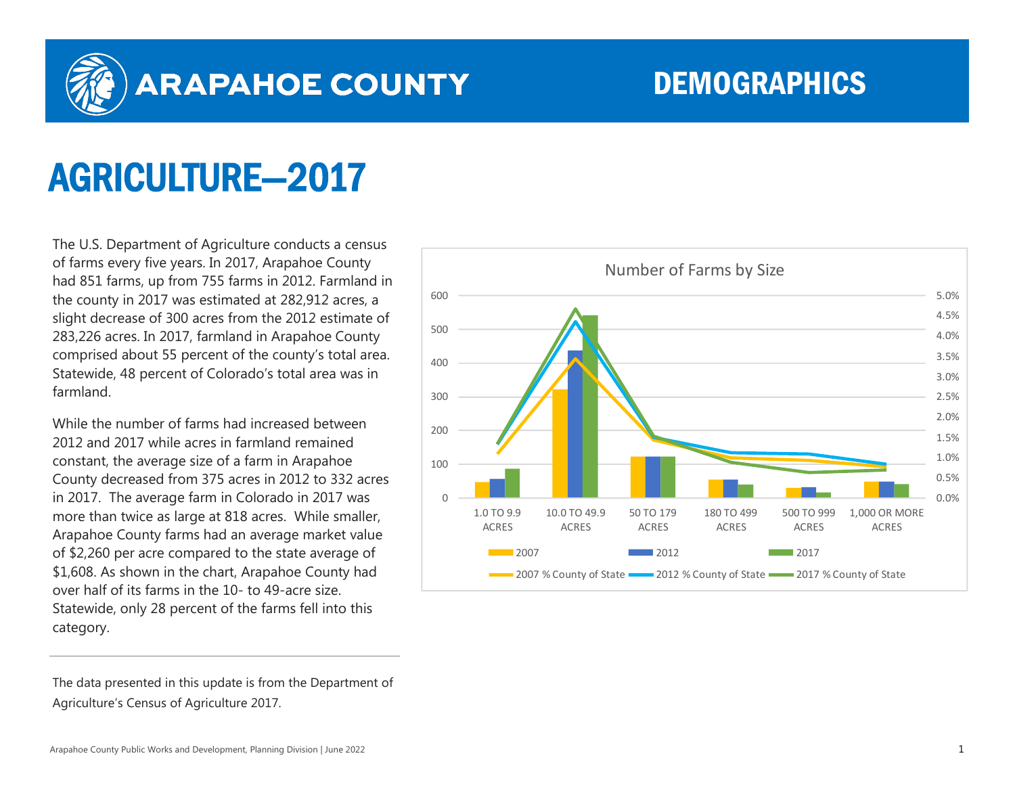

## **ARAPAHOE COUNTY**

## DEMOGRAPHICS

## AGRICULTURE—2017

The U.S. Department of Agriculture conducts a census of farms every five years. In 2017, Arapahoe County had 851 farms, up from 755 farms in 2012. Farmland in the county in 2017 was estimated at 282,912 acres, a slight decrease of 300 acres from the 2012 estimate of 283,226 acres. In 2017, farmland in Arapahoe County comprised about 55 percent of the county's total area. Statewide, 48 percent of Colorado's total area was in farmland.

While the number of farms had increased between 2012 and 2017 while acres in farmland remained constant, the average size of a farm in Arapahoe County decreased from 375 acres in 2012 to 332 acres in 2017. The average farm in Colorado in 2017 was more than twice as large at 818 acres. While smaller, Arapahoe County farms had an average market value of \$2,260 per acre compared to the state average of \$1,608. As shown in the chart, Arapahoe County had over half of its farms in the 10- to 49-acre size. Statewide, only 28 percent of the farms fell into this category.

The data presented in this update is from the Department of Agriculture's Census of Agriculture 2017.